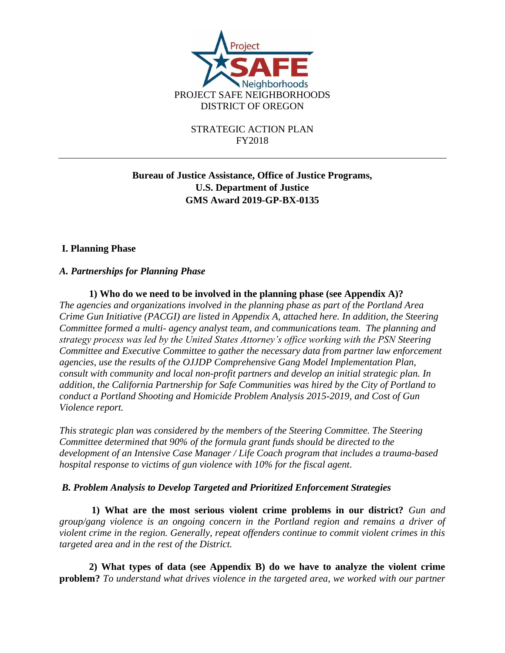

# **Bureau of Justice Assistance, Office of Justice Programs, U.S. Department of Justice GMS Award 2019-GP-BX-0135**

#### **I. Planning Phase**

#### *A. Partnerships for Planning Phase*

**1) Who do we need to be involved in the planning phase (see Appendix A)?**  *The agencies and organizations involved in the planning phase as part of the Portland Area Crime Gun Initiative (PACGI) are listed in Appendix A, attached here. In addition, the Steering Committee formed a multi- agency analyst team, and communications team. The planning and strategy process was led by the United States Attorney's office working with the PSN Steering Committee and Executive Committee to gather the necessary data from partner law enforcement agencies, use the results of the OJJDP Comprehensive Gang Model Implementation Plan, consult with community and local non-profit partners and develop an initial strategic plan. In addition, the California Partnership for Safe Communities was hired by the City of Portland to conduct a Portland Shooting and Homicide Problem Analysis 2015-2019, and Cost of Gun Violence report.* 

*This strategic plan was considered by the members of the Steering Committee. The Steering Committee determined that 90% of the formula grant funds should be directed to the development of an Intensive Case Manager / Life Coach program that includes a trauma-based hospital response to victims of gun violence with 10% for the fiscal agent.* 

#### *B. Problem Analysis to Develop Targeted and Prioritized Enforcement Strategies*

**1) What are the most serious violent crime problems in our district?** *Gun and group/gang violence is an ongoing concern in the Portland region and remains a driver of violent crime in the region. Generally, repeat offenders continue to commit violent crimes in this targeted area and in the rest of the District.*

**2) What types of data (see Appendix B) do we have to analyze the violent crime problem?** *To understand what drives violence in the targeted area, we worked with our partner*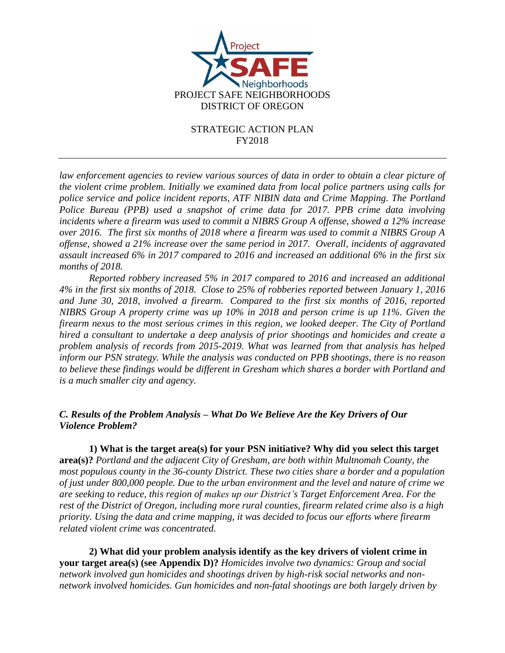

law enforcement agencies to review various sources of data in order to obtain a clear picture of *the violent crime problem. Initially we examined data from local police partners using calls for police service and police incident reports, ATF NIBIN data and Crime Mapping. The Portland Police Bureau (PPB) used a snapshot of crime data for 2017. PPB crime data involving incidents where a firearm was used to commit a NIBRS Group A offense, showed a 12% increase over 2016. The first six months of 2018 where a firearm was used to commit a NIBRS Group A offense, showed a 21% increase over the same period in 2017. Overall, incidents of aggravated assault increased 6% in 2017 compared to 2016 and increased an additional 6% in the first six months of 2018.*

*Reported robbery increased 5% in 2017 compared to 2016 and increased an additional 4% in the first six months of 2018. Close to 25% of robberies reported between January 1, 2016 and June 30, 2018, involved a firearm. Compared to the first six months of 2016, reported NIBRS Group A property crime was up 10% in 2018 and person crime is up 11%. Given the firearm nexus to the most serious crimes in this region, we looked deeper. The City of Portland hired a consultant to undertake a deep analysis of prior shootings and homicides and create a problem analysis of records from 2015-2019. What was learned from that analysis has helped inform our PSN strategy. While the analysis was conducted on PPB shootings, there is no reason to believe these findings would be different in Gresham which shares a border with Portland and is a much smaller city and agency.* 

#### *C. Results of the Problem Analysis – What Do We Believe Are the Key Drivers of Our Violence Problem?*

**1) What is the target area(s) for your PSN initiative? Why did you select this target area(s)?** *Portland and the adjacent City of Gresham, are both within Multnomah County, the most populous county in the 36-county District. These two cities share a border and a population of just under 800,000 people. Due to the urban environment and the level and nature of crime we are seeking to reduce, this region of makes up our District's Target Enforcement Area. For the rest of the District of Oregon, including more rural counties, firearm related crime also is a high priority. Using the data and crime mapping, it was decided to focus our efforts where firearm related violent crime was concentrated.* 

**2) What did your problem analysis identify as the key drivers of violent crime in your target area(s) (see Appendix D)?** *Homicides involve two dynamics: Group and social network involved gun homicides and shootings driven by high-risk social networks and nonnetwork involved homicides. Gun homicides and non-fatal shootings are both largely driven by*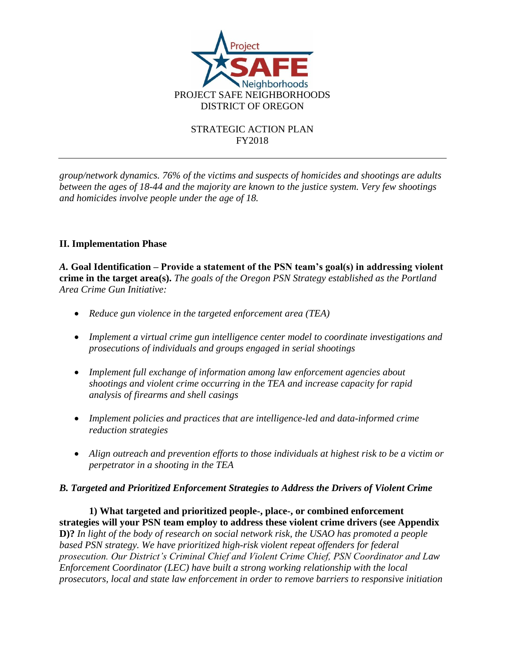

*group/network dynamics. 76% of the victims and suspects of homicides and shootings are adults between the ages of 18-44 and the majority are known to the justice system. Very few shootings and homicides involve people under the age of 18.*

# **II. Implementation Phase**

*A.* **Goal Identification – Provide a statement of the PSN team's goal(s) in addressing violent crime in the target area(s).** *The goals of the Oregon PSN Strategy established as the Portland Area Crime Gun Initiative:*

- *Reduce gun violence in the targeted enforcement area (TEA)*
- *Implement a virtual crime gun intelligence center model to coordinate investigations and prosecutions of individuals and groups engaged in serial shootings*
- *Implement full exchange of information among law enforcement agencies about shootings and violent crime occurring in the TEA and increase capacity for rapid analysis of firearms and shell casings*
- *Implement policies and practices that are intelligence-led and data-informed crime reduction strategies*
- *Align outreach and prevention efforts to those individuals at highest risk to be a victim or perpetrator in a shooting in the TEA*

# *B. Targeted and Prioritized Enforcement Strategies to Address the Drivers of Violent Crime*

**1) What targeted and prioritized people-, place-, or combined enforcement strategies will your PSN team employ to address these violent crime drivers (see Appendix D)?** *In light of the body of research on social network risk, the USAO has promoted a people based PSN strategy. We have prioritized high-risk violent repeat offenders for federal prosecution. Our District's Criminal Chief and Violent Crime Chief, PSN Coordinator and Law Enforcement Coordinator (LEC) have built a strong working relationship with the local prosecutors, local and state law enforcement in order to remove barriers to responsive initiation*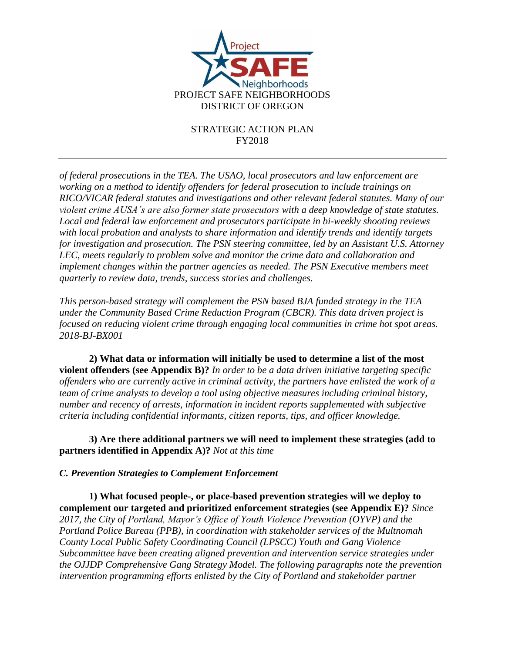

*of federal prosecutions in the TEA. The USAO, local prosecutors and law enforcement are working on a method to identify offenders for federal prosecution to include trainings on RICO/VICAR federal statutes and investigations and other relevant federal statutes. Many of our violent crime AUSA's are also former state prosecutors with a deep knowledge of state statutes. Local and federal law enforcement and prosecutors participate in bi-weekly shooting reviews with local probation and analysts to share information and identify trends and identify targets for investigation and prosecution. The PSN steering committee, led by an Assistant U.S. Attorney LEC, meets regularly to problem solve and monitor the crime data and collaboration and implement changes within the partner agencies as needed. The PSN Executive members meet quarterly to review data, trends, success stories and challenges.*

*This person-based strategy will complement the PSN based BJA funded strategy in the TEA under the Community Based Crime Reduction Program (CBCR). This data driven project is focused on reducing violent crime through engaging local communities in crime hot spot areas. 2018-BJ-BX001*

**2) What data or information will initially be used to determine a list of the most violent offenders (see Appendix B)?** *In order to be a data driven initiative targeting specific offenders who are currently active in criminal activity, the partners have enlisted the work of a team of crime analysts to develop a tool using objective measures including criminal history, number and recency of arrests, information in incident reports supplemented with subjective criteria including confidential informants, citizen reports, tips, and officer knowledge.* 

**3) Are there additional partners we will need to implement these strategies (add to partners identified in Appendix A)?** *Not at this time*

# *C. Prevention Strategies to Complement Enforcement*

**1) What focused people-, or place-based prevention strategies will we deploy to complement our targeted and prioritized enforcement strategies (see Appendix E)?** *Since 2017, the City of Portland, Mayor's Office of Youth Violence Prevention (OYVP) and the Portland Police Bureau (PPB), in coordination with stakeholder services of the Multnomah County Local Public Safety Coordinating Council (LPSCC) Youth and Gang Violence Subcommittee have been creating aligned prevention and intervention service strategies under the OJJDP Comprehensive Gang Strategy Model. The following paragraphs note the prevention intervention programming efforts enlisted by the City of Portland and stakeholder partner*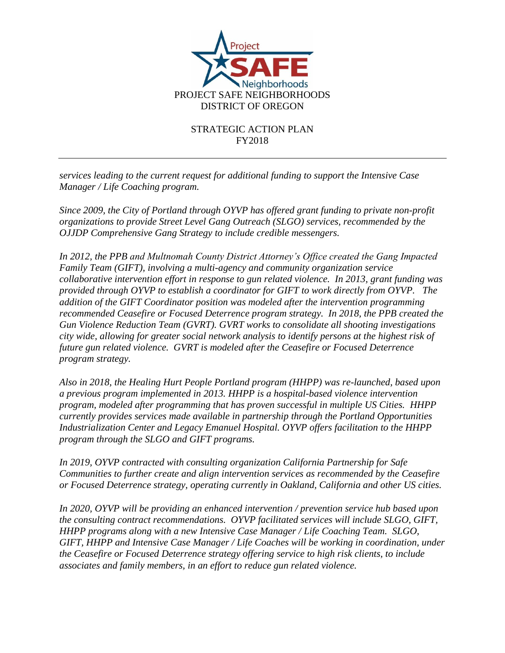

*services leading to the current request for additional funding to support the Intensive Case Manager / Life Coaching program.* 

*Since 2009, the City of Portland through OYVP has offered grant funding to private non-profit organizations to provide Street Level Gang Outreach (SLGO) services, recommended by the OJJDP Comprehensive Gang Strategy to include credible messengers.* 

*In 2012, the PPB and Multnomah County District Attorney's Office created the Gang Impacted Family Team (GIFT), involving a multi-agency and community organization service collaborative intervention effort in response to gun related violence. In 2013, grant funding was provided through OYVP to establish a coordinator for GIFT to work directly from OYVP. The addition of the GIFT Coordinator position was modeled after the intervention programming recommended Ceasefire or Focused Deterrence program strategy. In 2018, the PPB created the Gun Violence Reduction Team (GVRT). GVRT works to consolidate all shooting investigations city wide, allowing for greater social network analysis to identify persons at the highest risk of future gun related violence. GVRT is modeled after the Ceasefire or Focused Deterrence program strategy.* 

*Also in 2018, the Healing Hurt People Portland program (HHPP) was re-launched, based upon a previous program implemented in 2013. HHPP is a hospital-based violence intervention program, modeled after programming that has proven successful in multiple US Cities. HHPP currently provides services made available in partnership through the Portland Opportunities Industrialization Center and Legacy Emanuel Hospital. OYVP offers facilitation to the HHPP program through the SLGO and GIFT programs.* 

*In 2019, OYVP contracted with consulting organization California Partnership for Safe Communities to further create and align intervention services as recommended by the Ceasefire or Focused Deterrence strategy, operating currently in Oakland, California and other US cities.* 

*In 2020, OYVP will be providing an enhanced intervention / prevention service hub based upon the consulting contract recommendations. OYVP facilitated services will include SLGO, GIFT, HHPP programs along with a new Intensive Case Manager / Life Coaching Team. SLGO, GIFT, HHPP and Intensive Case Manager / Life Coaches will be working in coordination, under the Ceasefire or Focused Deterrence strategy offering service to high risk clients, to include associates and family members, in an effort to reduce gun related violence.*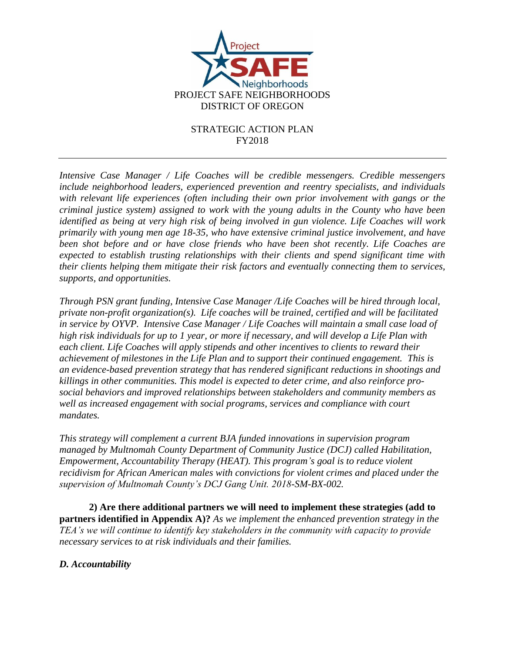

*Intensive Case Manager / Life Coaches will be credible messengers. Credible messengers include neighborhood leaders, experienced prevention and reentry specialists, and individuals with relevant life experiences (often including their own prior involvement with gangs or the criminal justice system) assigned to work with the young adults in the County who have been identified as being at very high risk of being involved in gun violence. Life Coaches will work primarily with young men age 18-35, who have extensive criminal justice involvement, and have been shot before and or have close friends who have been shot recently. Life Coaches are expected to establish trusting relationships with their clients and spend significant time with their clients helping them mitigate their risk factors and eventually connecting them to services, supports, and opportunities.*

*Through PSN grant funding, Intensive Case Manager /Life Coaches will be hired through local, private non-profit organization(s). Life coaches will be trained, certified and will be facilitated in service by OYVP. Intensive Case Manager / Life Coaches will maintain a small case load of high risk individuals for up to 1 year, or more if necessary, and will develop a Life Plan with each client. Life Coaches will apply stipends and other incentives to clients to reward their achievement of milestones in the Life Plan and to support their continued engagement. This is an evidence-based prevention strategy that has rendered significant reductions in shootings and killings in other communities. This model is expected to deter crime, and also reinforce prosocial behaviors and improved relationships between stakeholders and community members as well as increased engagement with social programs, services and compliance with court mandates.*

*This strategy will complement a current BJA funded innovations in supervision program managed by Multnomah County Department of Community Justice (DCJ) called Habilitation, Empowerment, Accountability Therapy (HEAT). This program's goal is to reduce violent recidivism for African American males with convictions for violent crimes and placed under the supervision of Multnomah County's DCJ Gang Unit. 2018-SM-BX-002.*

**2) Are there additional partners we will need to implement these strategies (add to partners identified in Appendix A)?** *As we implement the enhanced prevention strategy in the TEA's we will continue to identify key stakeholders in the community with capacity to provide necessary services to at risk individuals and their families.* 

# *D. Accountability*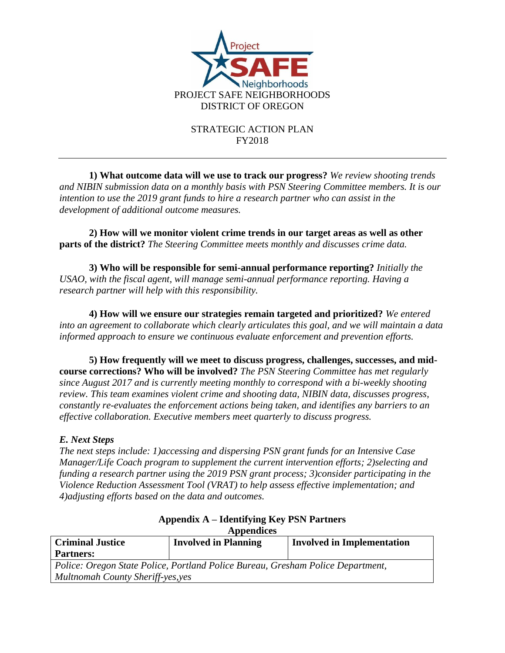

**1) What outcome data will we use to track our progress?** *We review shooting trends and NIBIN submission data on a monthly basis with PSN Steering Committee members. It is our intention to use the 2019 grant funds to hire a research partner who can assist in the development of additional outcome measures.*

**2) How will we monitor violent crime trends in our target areas as well as other parts of the district?** *The Steering Committee meets monthly and discusses crime data.*

**3) Who will be responsible for semi-annual performance reporting?** *Initially the USAO, with the fiscal agent, will manage semi-annual performance reporting. Having a research partner will help with this responsibility.*

**4) How will we ensure our strategies remain targeted and prioritized?** *We entered into an agreement to collaborate which clearly articulates this goal, and we will maintain a data informed approach to ensure we continuous evaluate enforcement and prevention efforts.*

**5) How frequently will we meet to discuss progress, challenges, successes, and midcourse corrections? Who will be involved?** *The PSN Steering Committee has met regularly since August 2017 and is currently meeting monthly to correspond with a bi-weekly shooting review. This team examines violent crime and shooting data, NIBIN data, discusses progress, constantly re-evaluates the enforcement actions being taken, and identifies any barriers to an effective collaboration. Executive members meet quarterly to discuss progress.*

# *E. Next Steps*

*The next steps include: 1)accessing and dispersing PSN grant funds for an Intensive Case Manager/Life Coach program to supplement the current intervention efforts; 2)selecting and funding a research partner using the 2019 PSN grant process; 3)consider participating in the Violence Reduction Assessment Tool (VRAT) to help assess effective implementation; and 4)adjusting efforts based on the data and outcomes.*

| Appendices                                                                      |                             |                                   |
|---------------------------------------------------------------------------------|-----------------------------|-----------------------------------|
| <b>Criminal Justice</b>                                                         | <b>Involved in Planning</b> | <b>Involved in Implementation</b> |
| <b>Partners:</b>                                                                |                             |                                   |
| Police: Oregon State Police, Portland Police Bureau, Gresham Police Department, |                             |                                   |
| Multnomah County Sheriff-yes, yes                                               |                             |                                   |

#### **Appendix A – Identifying Key PSN Partners Appendices**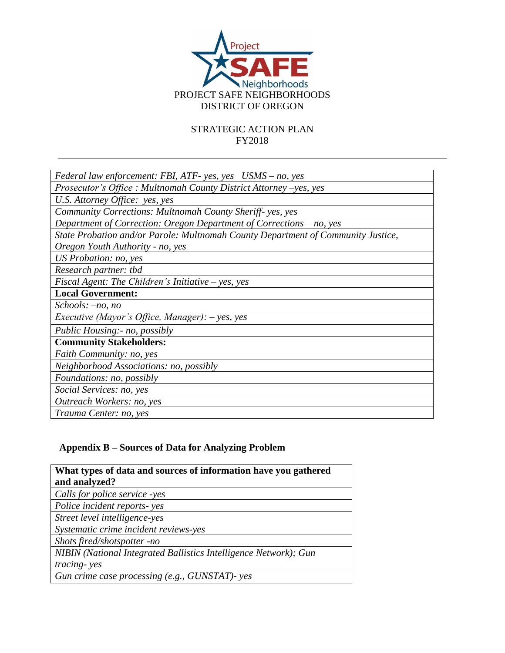

| Federal law enforcement: FBI, ATF- yes, yes $USMS - no$ , yes                    |  |  |
|----------------------------------------------------------------------------------|--|--|
| Prosecutor's Office: Multnomah County District Attorney -yes, yes                |  |  |
| U.S. Attorney Office: yes, yes                                                   |  |  |
| Community Corrections: Multnomah County Sheriff-yes, yes                         |  |  |
| Department of Correction: Oregon Department of Corrections – no, yes             |  |  |
| State Probation and/or Parole: Multnomah County Department of Community Justice, |  |  |
| Oregon Youth Authority - no, yes                                                 |  |  |
| US Probation: no, yes                                                            |  |  |
| Research partner: tbd                                                            |  |  |
| Fiscal Agent: The Children's Initiative $-$ yes, yes                             |  |  |
| <b>Local Government:</b>                                                         |  |  |
| $Schools: -no, no$                                                               |  |  |
| <i>Executive (Mayor's Office, Manager): <math>-</math> yes, yes</i>              |  |  |
| Public Housing:- no, possibly                                                    |  |  |
| <b>Community Stakeholders:</b>                                                   |  |  |
| Faith Community: no, yes                                                         |  |  |
| Neighborhood Associations: no, possibly                                          |  |  |
| Foundations: no, possibly                                                        |  |  |
| Social Services: no, yes                                                         |  |  |
| Outreach Workers: no, yes                                                        |  |  |
| Trauma Center: no, yes                                                           |  |  |

# **Appendix B – Sources of Data for Analyzing Problem**

| What types of data and sources of information have you gathered<br>and analyzed? |
|----------------------------------------------------------------------------------|
| Calls for police service -yes                                                    |
| Police incident reports-yes                                                      |
| Street level intelligence-yes                                                    |
| Systematic crime incident reviews-yes                                            |
| Shots fired/shotspotter -no                                                      |
| NIBIN (National Integrated Ballistics Intelligence Network); Gun                 |
| tracing-yes                                                                      |
| Gun crime case processing (e.g., GUNSTAT)- yes                                   |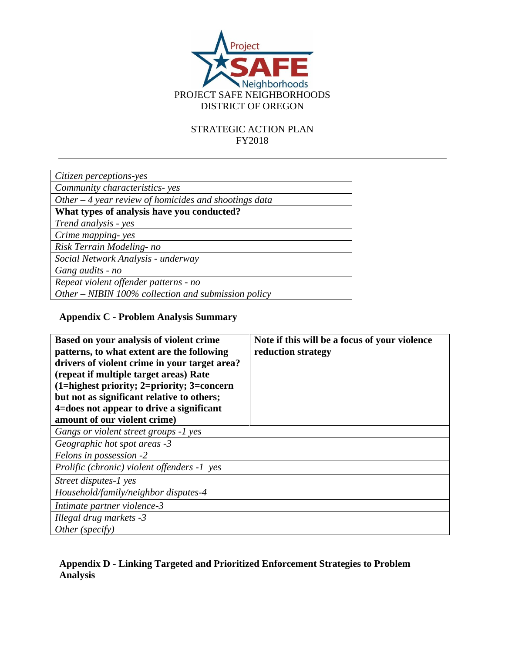

| Citizen perceptions-yes                                |  |
|--------------------------------------------------------|--|
| Community characteristics-yes                          |  |
| Other $-4$ year review of homicides and shootings data |  |
| What types of analysis have you conducted?             |  |
| Trend analysis - yes                                   |  |
| Crime mapping-yes                                      |  |
| Risk Terrain Modeling-no                               |  |
| Social Network Analysis - underway                     |  |
| Gang audits - no                                       |  |
| Repeat violent offender patterns - no                  |  |
| Other – NIBIN 100% collection and submission policy    |  |
|                                                        |  |

# **Appendix C - Problem Analysis Summary**

| Based on your analysis of violent crime<br>patterns, to what extent are the following<br>drivers of violent crime in your target area?<br>(repeat if multiple target areas) Rate | Note if this will be a focus of your violence<br>reduction strategy |
|----------------------------------------------------------------------------------------------------------------------------------------------------------------------------------|---------------------------------------------------------------------|
| $(1)$ =highest priority; 2=priority; 3=concern                                                                                                                                   |                                                                     |
| but not as significant relative to others;                                                                                                                                       |                                                                     |
| 4=does not appear to drive a significant                                                                                                                                         |                                                                     |
| amount of our violent crime)                                                                                                                                                     |                                                                     |
| Gangs or violent street groups -1 yes                                                                                                                                            |                                                                     |
| Geographic hot spot areas -3                                                                                                                                                     |                                                                     |
| Felons in possession -2                                                                                                                                                          |                                                                     |
| Prolific (chronic) violent offenders -1 yes                                                                                                                                      |                                                                     |
| Street disputes-1 yes                                                                                                                                                            |                                                                     |
| Household/family/neighbor disputes-4                                                                                                                                             |                                                                     |
| Intimate partner violence-3                                                                                                                                                      |                                                                     |
| Illegal drug markets -3                                                                                                                                                          |                                                                     |
| Other (specific)                                                                                                                                                                 |                                                                     |

# **Appendix D - Linking Targeted and Prioritized Enforcement Strategies to Problem Analysis**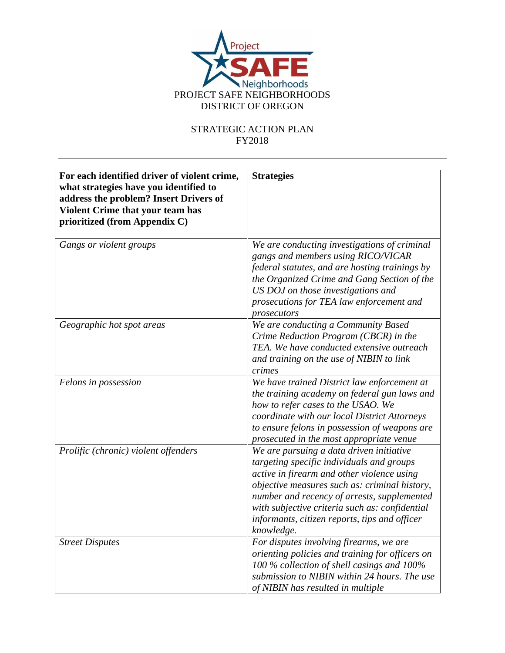

| For each identified driver of violent crime,<br>what strategies have you identified to<br>address the problem? Insert Drivers of<br>Violent Crime that your team has<br>prioritized (from Appendix C) | <b>Strategies</b>                                                                                                                                                                                                                                                                                                                                    |
|-------------------------------------------------------------------------------------------------------------------------------------------------------------------------------------------------------|------------------------------------------------------------------------------------------------------------------------------------------------------------------------------------------------------------------------------------------------------------------------------------------------------------------------------------------------------|
| Gangs or violent groups                                                                                                                                                                               | We are conducting investigations of criminal<br>gangs and members using RICO/VICAR<br>federal statutes, and are hosting trainings by<br>the Organized Crime and Gang Section of the<br>US DOJ on those investigations and<br>prosecutions for TEA law enforcement and<br>prosecutors                                                                 |
| Geographic hot spot areas                                                                                                                                                                             | We are conducting a Community Based<br>Crime Reduction Program (CBCR) in the<br>TEA. We have conducted extensive outreach<br>and training on the use of NIBIN to link<br>crimes                                                                                                                                                                      |
| Felons in possession                                                                                                                                                                                  | We have trained District law enforcement at<br>the training academy on federal gun laws and<br>how to refer cases to the USAO. We<br>coordinate with our local District Attorneys<br>to ensure felons in possession of weapons are<br>prosecuted in the most appropriate venue                                                                       |
| Prolific (chronic) violent offenders                                                                                                                                                                  | We are pursuing a data driven initiative<br>targeting specific individuals and groups<br>active in firearm and other violence using<br>objective measures such as: criminal history,<br>number and recency of arrests, supplemented<br>with subjective criteria such as: confidential<br>informants, citizen reports, tips and officer<br>knowledge. |
| <b>Street Disputes</b>                                                                                                                                                                                | For disputes involving firearms, we are<br>orienting policies and training for officers on<br>100 % collection of shell casings and 100%<br>submission to NIBIN within 24 hours. The use<br>of NIBIN has resulted in multiple                                                                                                                        |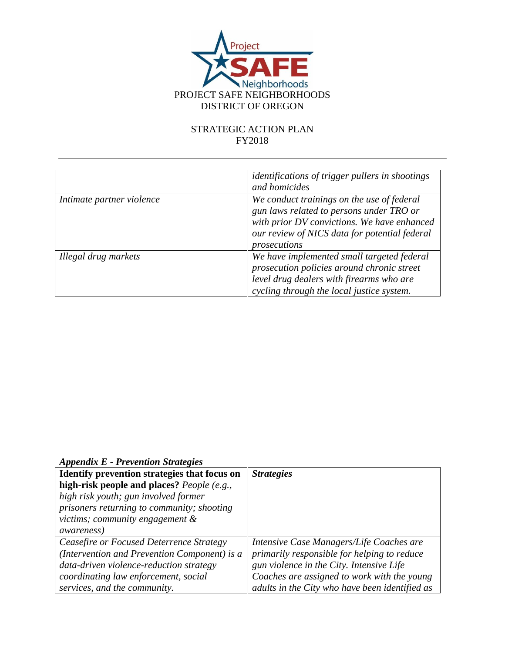

|                           | <i>identifications of trigger pullers in shootings</i><br>and homicides                                                                                                                                |
|---------------------------|--------------------------------------------------------------------------------------------------------------------------------------------------------------------------------------------------------|
| Intimate partner violence | We conduct trainings on the use of federal<br>gun laws related to persons under TRO or<br>with prior DV convictions. We have enhanced<br>our review of NICS data for potential federal<br>prosecutions |
| Illegal drug markets      | We have implemented small targeted federal<br>prosecution policies around chronic street<br>level drug dealers with firearms who are<br>cycling through the local justice system.                      |

*Appendix E - Prevention Strategies*

| Identify prevention strategies that focus on | <b>Strategies</b>                              |
|----------------------------------------------|------------------------------------------------|
| high-risk people and places? People (e.g.,   |                                                |
| high risk youth; gun involved former         |                                                |
| prisoners returning to community; shooting   |                                                |
| victims; community engagement &              |                                                |
| <i>awareness</i> )                           |                                                |
| Ceasefire or Focused Deterrence Strategy     | Intensive Case Managers/Life Coaches are       |
| (Intervention and Prevention Component) is a | primarily responsible for helping to reduce    |
| data-driven violence-reduction strategy      | gun violence in the City. Intensive Life       |
| coordinating law enforcement, social         | Coaches are assigned to work with the young    |
| services, and the community.                 | adults in the City who have been identified as |